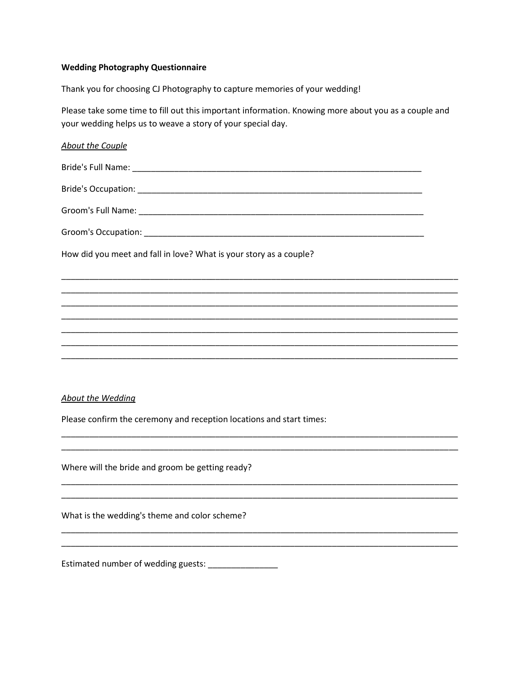# **Wedding Photography Questionnaire**

Thank you for choosing CJ Photography to capture memories of your wedding!

Please take some time to fill out this important information. Knowing more about you as a couple and your wedding helps us to weave a story of your special day.

| <b>About the Couple</b>                                                          |  |
|----------------------------------------------------------------------------------|--|
|                                                                                  |  |
|                                                                                  |  |
|                                                                                  |  |
|                                                                                  |  |
| How did you meet and fall in love? What is your story as a couple?               |  |
|                                                                                  |  |
|                                                                                  |  |
| ,我们也不能会有什么。""我们的人,我们也不能会不能会不能会不能会不能会不能会不能会不能会不能会不能会。""我们的人,我们也不能会不能会不能会不能会不能会不能会 |  |
|                                                                                  |  |
|                                                                                  |  |
|                                                                                  |  |
|                                                                                  |  |

## **About the Wedding**

Please confirm the ceremony and reception locations and start times:

Where will the bride and groom be getting ready?

What is the wedding's theme and color scheme?

Estimated number of wedding guests: \_\_\_\_\_\_\_\_\_\_\_\_\_\_\_\_\_\_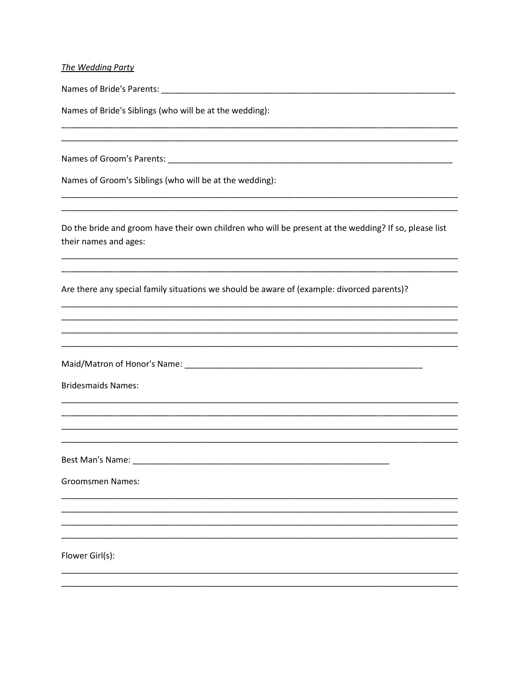### The Wedding Party

Names of Bride's Parents: Names of Bride's Parents:

Names of Bride's Siblings (who will be at the wedding):

Names of Groom's Siblings (who will be at the wedding):

Do the bride and groom have their own children who will be present at the wedding? If so, please list their names and ages:

Are there any special family situations we should be aware of (example: divorced parents)?

**Bridesmaids Names:** 

Best Man's Name: Name: Name and South Assembly and South Assembly and South Assembly and South Assembly and South Assembly and South Assembly and South Assembly and Assembly and Assembly and Assembly and Assembly and Assem

**Groomsmen Names:** 

Flower Girl(s):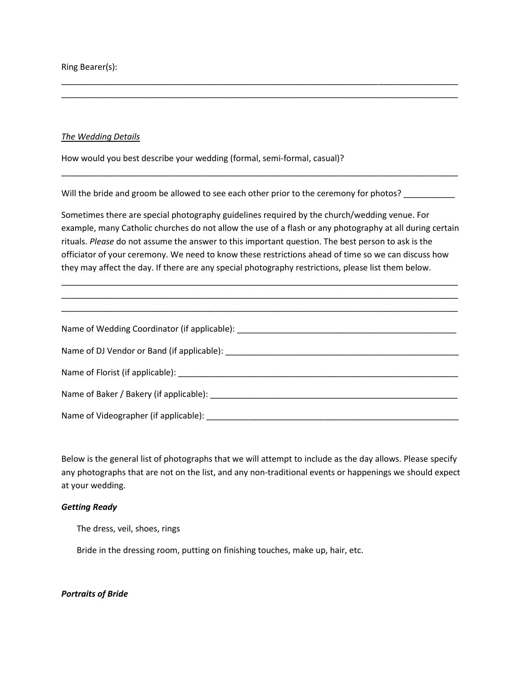Ring Bearer(s):

#### *The Wedding Details*

How would you best describe your wedding (formal, semi-formal, casual)?

Will the bride and groom be allowed to see each other prior to the ceremony for photos?

Sometimes there are special photography guidelines required by the church/wedding venue. For example, many Catholic churches do not allow the use of a flash or any photography at all during certain rituals. *Please* do not assume the answer to this important question. The best person to ask is the officiator of your ceremony. We need to know these restrictions ahead of time so we can discuss how they may affect the day. If there are any special photography restrictions, please list them below.

\_\_\_\_\_\_\_\_\_\_\_\_\_\_\_\_\_\_\_\_\_\_\_\_\_\_\_\_\_\_\_\_\_\_\_\_\_\_\_\_\_\_\_\_\_\_\_\_\_\_\_\_\_\_\_\_\_\_\_\_\_\_\_\_\_\_\_\_\_\_\_\_\_\_\_\_\_\_\_\_\_\_\_\_\_ \_\_\_\_\_\_\_\_\_\_\_\_\_\_\_\_\_\_\_\_\_\_\_\_\_\_\_\_\_\_\_\_\_\_\_\_\_\_\_\_\_\_\_\_\_\_\_\_\_\_\_\_\_\_\_\_\_\_\_\_\_\_\_\_\_\_\_\_\_\_\_\_\_\_\_\_\_\_\_\_\_\_\_\_\_

\_\_\_\_\_\_\_\_\_\_\_\_\_\_\_\_\_\_\_\_\_\_\_\_\_\_\_\_\_\_\_\_\_\_\_\_\_\_\_\_\_\_\_\_\_\_\_\_\_\_\_\_\_\_\_\_\_\_\_\_\_\_\_\_\_\_\_\_\_\_\_\_\_\_\_\_\_\_\_\_\_\_\_\_\_

\_\_\_\_\_\_\_\_\_\_\_\_\_\_\_\_\_\_\_\_\_\_\_\_\_\_\_\_\_\_\_\_\_\_\_\_\_\_\_\_\_\_\_\_\_\_\_\_\_\_\_\_\_\_\_\_\_\_\_\_\_\_\_\_\_\_\_\_\_\_\_\_\_\_\_\_\_\_\_\_\_\_\_\_\_ \_\_\_\_\_\_\_\_\_\_\_\_\_\_\_\_\_\_\_\_\_\_\_\_\_\_\_\_\_\_\_\_\_\_\_\_\_\_\_\_\_\_\_\_\_\_\_\_\_\_\_\_\_\_\_\_\_\_\_\_\_\_\_\_\_\_\_\_\_\_\_\_\_\_\_\_\_\_\_\_\_\_\_\_\_

| Name of Wedding Coordinator (if applicable): Name of Wedding Coordinator (if applicable): |
|-------------------------------------------------------------------------------------------|
| Name of DJ Vendor or Band (if applicable): Name of DJ Vendor or Band (if applicable):     |
|                                                                                           |
|                                                                                           |
|                                                                                           |

Below is the general list of photographs that we will attempt to include as the day allows. Please specify any photographs that are not on the list, and any non-traditional events or happenings we should expect at your wedding.

### *Getting Ready*

The dress, veil, shoes, rings

Bride in the dressing room, putting on finishing touches, make up, hair, etc.

## *Portraits of Bride*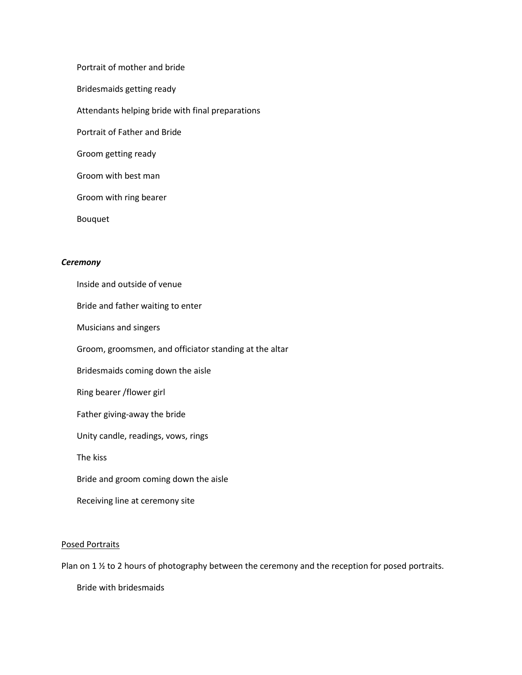Portrait of mother and bride Bridesmaids getting ready Attendants helping bride with final preparations Portrait of Father and Bride Groom getting ready Groom with best man Groom with ring bearer Bouquet

# *Ceremony*

Inside and outside of venue

Bride and father waiting to enter

Musicians and singers

Groom, groomsmen, and officiator standing at the altar

Bridesmaids coming down the aisle

Ring bearer /flower girl

Father giving-away the bride

Unity candle, readings, vows, rings

The kiss

Bride and groom coming down the aisle

Receiving line at ceremony site

#### Posed Portraits

Plan on 1 % to 2 hours of photography between the ceremony and the reception for posed portraits.

Bride with bridesmaids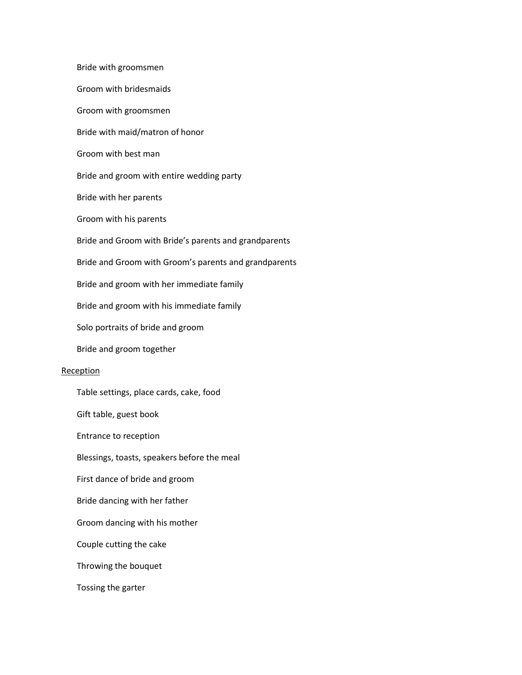Bride with groomsmen Groom with bridesmaids Groom with groomsmen Bride with maid/matron of honor Groom with best man Bride and groom with entire wedding party Bride with her parents Groom with his parents Bride and Groom with Bride's parents and grandparents Bride and Groom with Groom's parents and grandparents Bride and groom with her immediate family Bride and groom with his immediate family Solo portraits of bride and groom Bride and groom together Reception Table settings, place cards, cake, food Gift table, guest book Entrance to reception Blessings, toasts, speakers before the meal First dance of bride and groom Bride dancing with her father Groom dancing with his mother Couple cutting the cake Throwing the bouquet Tossing the garter